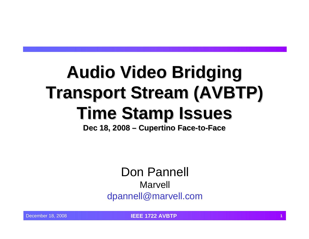# **Audio Video Bridging Audio Video Bridging Transport Stream (AVBTP) Time Stamp Issues Time Stamp Issues**

**Dec 18, 2008 – Cupertino Face-to-Face** 

Don Pannell Marvell dpannell@marvell.com

December 18, 2008 **IEEE 1722 AVBTP <sup>1</sup>**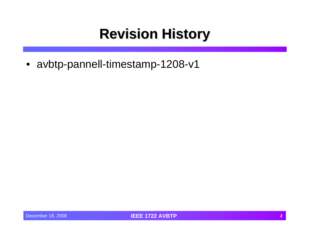#### **Revision History Revision History**

• avbtp-pannell-timestamp-1208-v1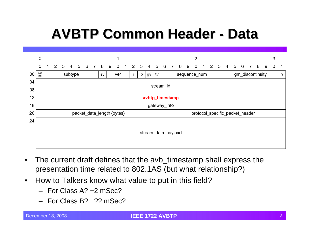## **AVBTP Common Header AVBTP Common Header - Data**



- • The current draft defines that the avb\_timestamp shall express the presentation time related to 802.1AS (but what relationship?)
- • How to Talkers know what value to put in this field?
	- For Class A? +2 mSec?
	- For Class B? +?? mSec?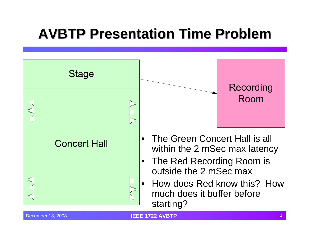#### **AVBTP Presentation Time Problem AVBTP Presentation Time Problem**

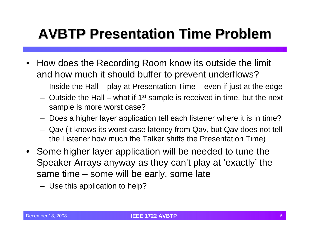#### **AVBTP Presentation Time Problem AVBTP Presentation Time Problem**

- $\bullet$  How does the Recording Room know its outside the limit and how much it should buffer to prevent underflows?
	- Inside the Hall play at Presentation Time even if just at the edge
	- Outside the Hall what if  $1<sup>st</sup>$  sample is received in time, but the next sample is more worst case?
	- Does a higher layer application tell each listener where it is in time?
	- Qav (it knows its worst case latency from Qav, but Qav does not tell the Listener how much the Talker shifts the Presentation Time)
- Some higher layer application will be needed to tune the Speaker Arrays anyway as they can't play at 'exactly' the same time – some will be early, some late
	- Use this application to help?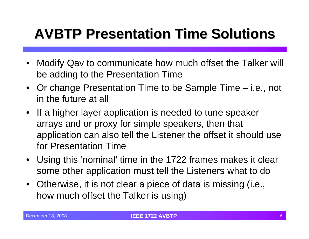### **AVBTP Presentation Time Solutions AVBTP Presentation Time Solutions**

- $\bullet$  Modify Qav to communicate how much offset the Talker will be adding to the Presentation Time
- Or change Presentation Time to be Sample Time i.e., not in the future at all
- If a higher layer application is needed to tune speaker arrays and or proxy for simple speakers, then that application can also tell the Listener the offset it should use for Presentation Time
- $\bullet$  Using this 'nominal' time in the 1722 frames makes it clear some other application must tell the Listeners what to do
- $\bullet$  Otherwise, it is not clear a piece of data is missing (i.e., how much offset the Talker is using)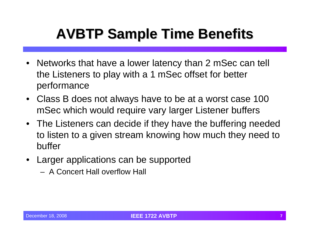## **AVBTP Sample Time Benefits AVBTP Sample Time Benefits**

- $\bullet$  Networks that have a lower latency than 2 mSec can tell the Listeners to play with a 1 mSec offset for better performance
- Class B does not always have to be at a worst case 100 mSec which would require vary larger Listener buffers
- The Listeners can decide if they have the buffering needed to listen to a given stream knowing how much they need to buffer
- $\bullet$  Larger applications can be supported
	- A Concert Hall overflow Hall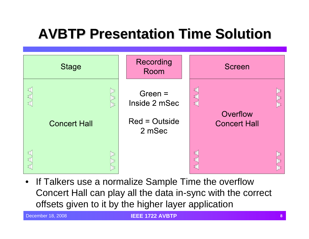#### **AVBTP Presentation Time Solution**

| <b>Stage</b>                | Recording<br>Room          | Screen                                                                            |
|-----------------------------|----------------------------|-----------------------------------------------------------------------------------|
| 玒<br>D≠<br>工<br>止<br>玒<br>正 | Green $=$<br>Inside 2 mSec | 印<br>ΓΕ<br>$\exists$<br>ΓΕ<br>$\overline{\mathbb{H}}$<br>$\mathbb{E}$<br>Overflow |
| <b>Concert Hall</b>         | $Red = Outside$<br>2 mSec  | <b>Concert Hall</b>                                                               |
| 工<br>D≠<br>印<br>玒           |                            | ⋣<br>$\mathbb{D}$<br>F<br>ੇ<br>囗                                                  |

• If Talkers use a normalize Sample Time the overflow Concert Hall can play all the data in-sync with the correct offsets given to it by the higher layer application

December 18, 2008 **IEEE 1722 AVBTP <sup>8</sup>**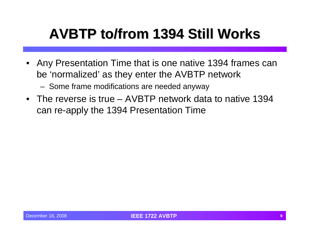### **AVBTP to/from 1394 Still Works AVBTP to/from 1394 Still Works**

- Any Presentation Time that is one native 1394 frames can be 'normalized' as they enter the AVBTP network
	- Some frame modifications are needed anyway
- The reverse is true AVBTP network data to native 1394 can re-apply the 1394 Presentation Time